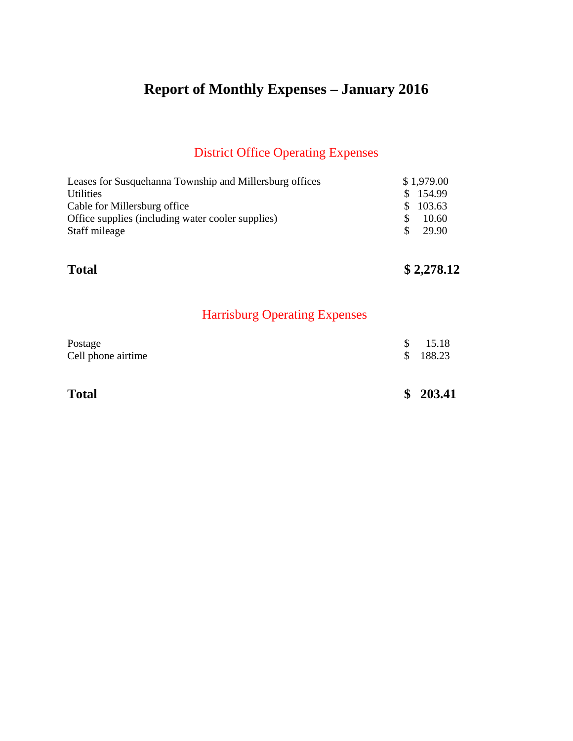# **Report of Monthly Expenses – January 2016**

## District Office Operating Expenses

| Leases for Susquehanna Township and Millersburg offices |     | \$1,979.00 |
|---------------------------------------------------------|-----|------------|
| <b>Utilities</b>                                        |     | \$154.99   |
| Cable for Millersburg office                            |     | \$103.63   |
| Office supplies (including water cooler supplies)       |     | 10.60      |
| Staff mileage                                           | SS. | 29.90      |
|                                                         |     |            |

## **Total \$ 2,278.12**

## Harrisburg Operating Expenses

| Postage            | \$15.18  |
|--------------------|----------|
| Cell phone airtime | \$188.23 |
|                    |          |

**Total \$ 203.41**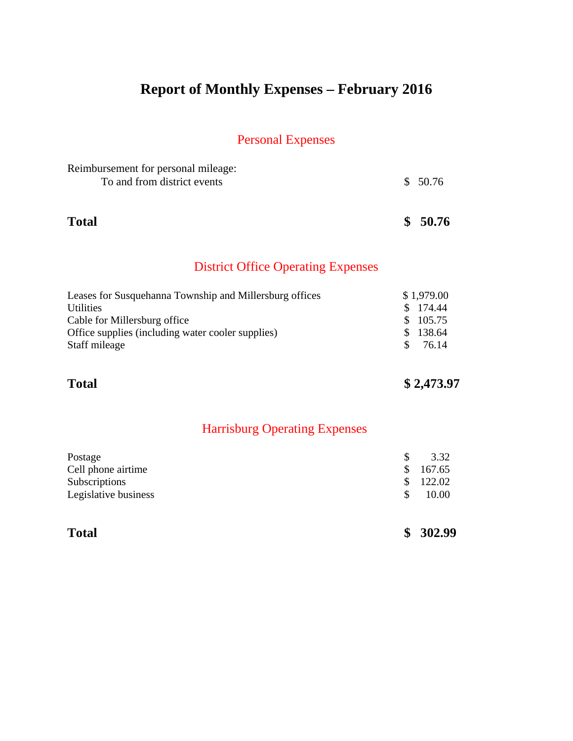# **Report of Monthly Expenses – February 2016**

## Personal Expenses

| <b>Total</b>                                                       | \$50.76 |
|--------------------------------------------------------------------|---------|
| Reimbursement for personal mileage:<br>To and from district events | \$50.76 |

## District Office Operating Expenses

| Leases for Susquehanna Township and Millersburg offices | \$1,979.00             |
|---------------------------------------------------------|------------------------|
| <b>Utilities</b>                                        | \$ 174.44              |
| Cable for Millersburg office                            | \$105.75               |
| Office supplies (including water cooler supplies)       | \$138.64               |
| Staff mileage                                           | 76.14<br><sup>\$</sup> |
|                                                         |                        |

**Total \$ 2,473.97** 

## Harrisburg Operating Expenses

| Postage              |               | 3.32     |
|----------------------|---------------|----------|
| Cell phone airtime   |               | \$167.65 |
| Subscriptions        | $\mathcal{S}$ | 122.02   |
| Legislative business |               | 10.00    |
|                      |               |          |
|                      |               |          |

| <b>Total</b> |  | \$302.99 |
|--------------|--|----------|
|--------------|--|----------|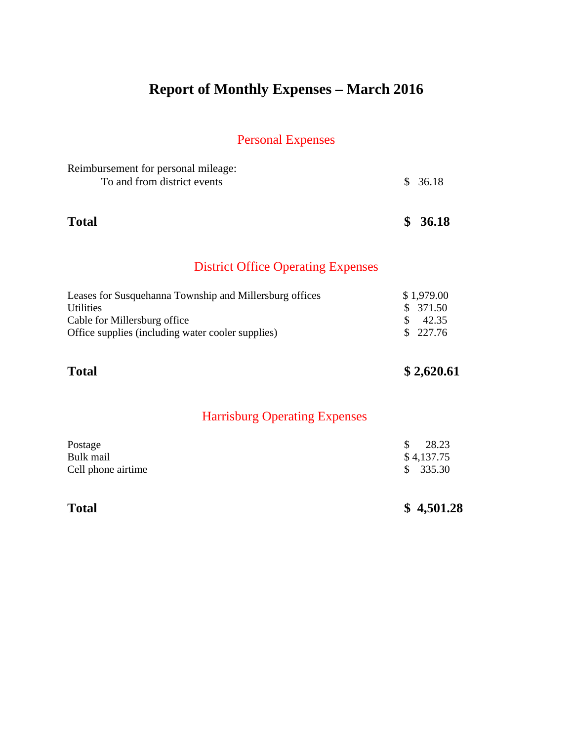# **Report of Monthly Expenses – March 2016**

| Reimbursement for personal mileage:<br>To and from district events                                                                                               |                | \$36.18                                 |
|------------------------------------------------------------------------------------------------------------------------------------------------------------------|----------------|-----------------------------------------|
| <b>Total</b>                                                                                                                                                     | \$             | 36.18                                   |
| <b>District Office Operating Expenses</b>                                                                                                                        |                |                                         |
| Leases for Susquehanna Township and Millersburg offices<br><b>Utilities</b><br>Cable for Millersburg office<br>Office supplies (including water cooler supplies) | \$<br>\$<br>\$ | \$1,979.00<br>371.50<br>42.35<br>227.76 |
| <b>Total</b>                                                                                                                                                     |                | \$2,620.61                              |
| <b>Harrisburg Operating Expenses</b>                                                                                                                             |                |                                         |
| Postage<br>Bulk mail<br>Cell phone airtime                                                                                                                       | \$<br>\$       | 28.23<br>\$4,137.75<br>335.30           |
| <b>Total</b>                                                                                                                                                     |                | \$4,501.28                              |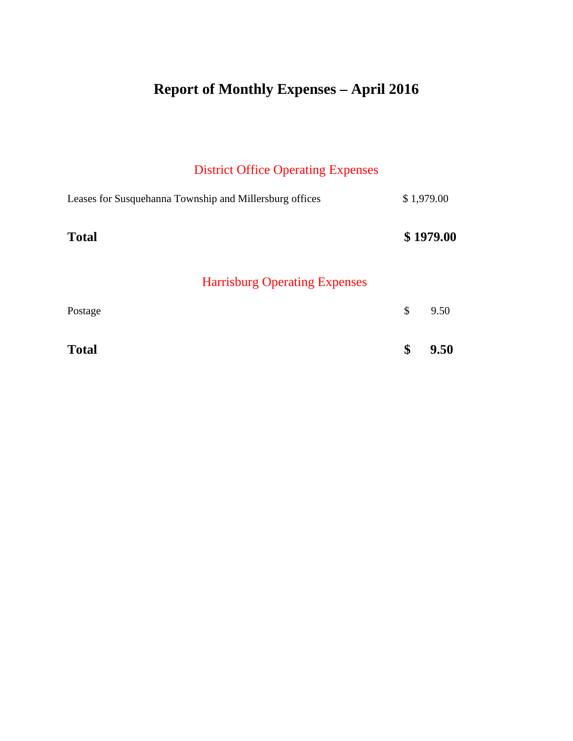# **Report of Monthly Expenses – April 2016**

## District Office Operating Expenses

| Leases for Susquehanna Township and Millersburg offices | \$1,979.00 |
|---------------------------------------------------------|------------|
| <b>Total</b><br><b>Harrisburg Operating Expenses</b>    | \$1979.00  |
| Postage                                                 | \$<br>9.50 |
| <b>Total</b>                                            | \$<br>9.50 |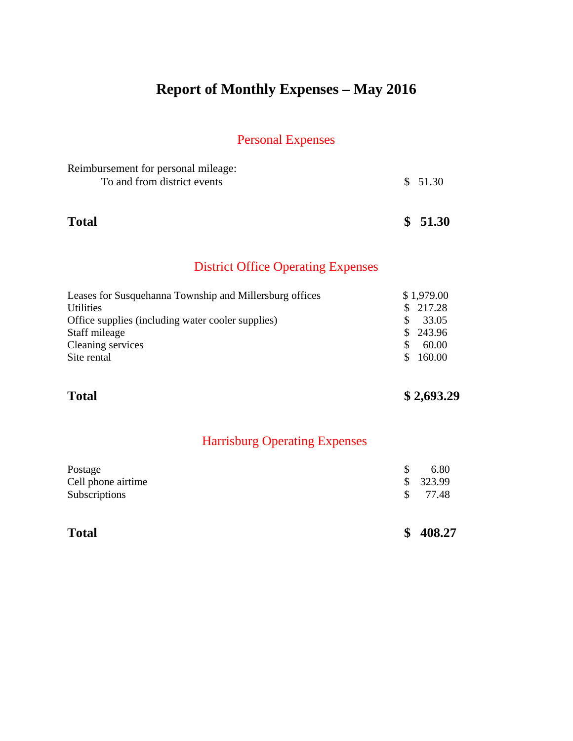# **Report of Monthly Expenses – May 2016**

### Personal Expenses

| Reimbursement for personal mileage: |          |
|-------------------------------------|----------|
| To and from district events         | \$ 51.30 |
|                                     |          |
|                                     |          |

**Total \$ 51.30**

## District Office Operating Expenses

| Leases for Susquehanna Township and Millersburg offices | \$1,979.00 |
|---------------------------------------------------------|------------|
| <b>Utilities</b>                                        | \$217.28   |
| Office supplies (including water cooler supplies)       | 33.05      |
| Staff mileage                                           | \$243.96   |
| Cleaning services                                       | 60.00      |
| Site rental                                             | 160.00     |

## **Total \$ 2,693.29**

## Harrisburg Operating Expenses

| Postage            | 6.80     |
|--------------------|----------|
| Cell phone airtime | \$323.99 |
| Subscriptions      | \$77.48  |
|                    |          |
|                    |          |

| ota |
|-----|
|-----|

**Total \$ 408.27**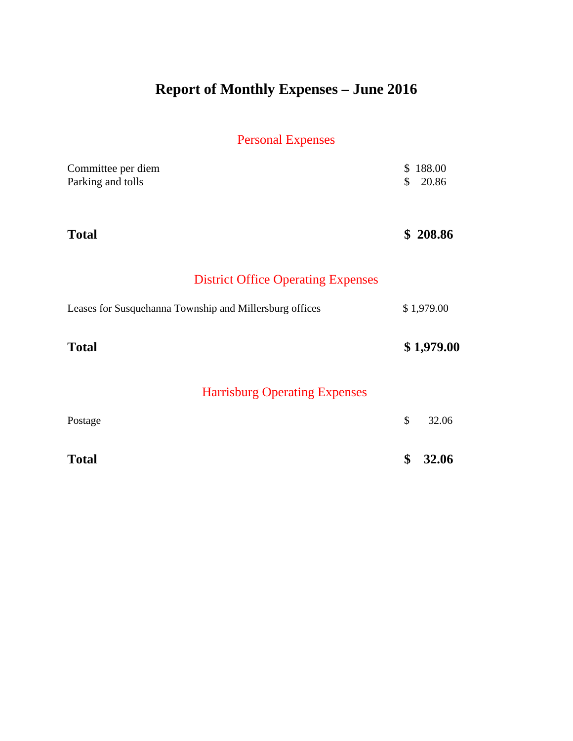# **Report of Monthly Expenses – June 2016**

| Committee per diem                                      | $\mathbb{S}$  | 188.00     |
|---------------------------------------------------------|---------------|------------|
| Parking and tolls                                       | $\mathbb{S}$  | 20.86      |
|                                                         |               |            |
| <b>Total</b>                                            |               | \$208.86   |
|                                                         |               |            |
| <b>District Office Operating Expenses</b>               |               |            |
| Leases for Susquehanna Township and Millersburg offices |               | \$1,979.00 |
| <b>Total</b>                                            |               | \$1,979.00 |
|                                                         |               |            |
| <b>Harrisburg Operating Expenses</b>                    |               |            |
| Postage                                                 | $\mathcal{S}$ | 32.06      |
|                                                         |               |            |
| <b>Total</b>                                            | \$            | 32.06      |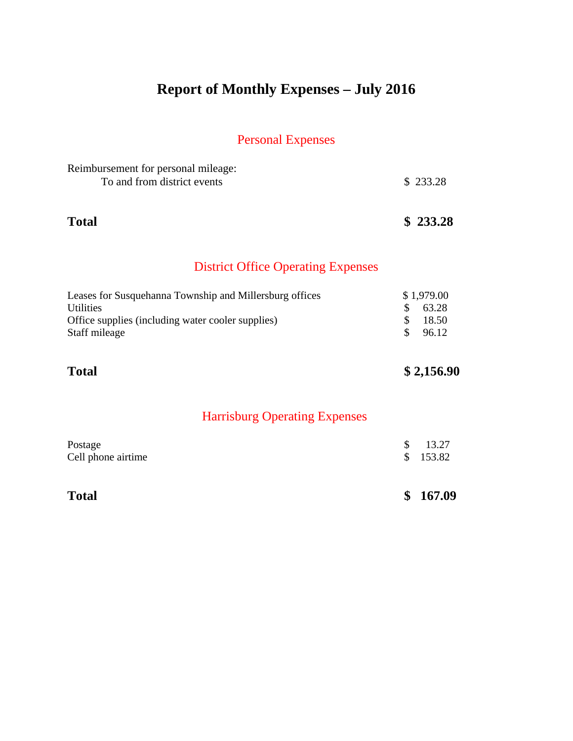# **Report of Monthly Expenses – July 2016**

| Reimbursement for personal mileage:<br>To and from district events                                                                                |                | \$233.28                              |
|---------------------------------------------------------------------------------------------------------------------------------------------------|----------------|---------------------------------------|
| <b>Total</b>                                                                                                                                      |                | \$233.28                              |
| <b>District Office Operating Expenses</b>                                                                                                         |                |                                       |
| Leases for Susquehanna Township and Millersburg offices<br><b>Utilities</b><br>Office supplies (including water cooler supplies)<br>Staff mileage | \$<br>\$<br>\$ | \$1,979.00<br>63.28<br>18.50<br>96.12 |
| <b>Total</b>                                                                                                                                      |                | \$2,156.90                            |
| <b>Harrisburg Operating Expenses</b>                                                                                                              |                |                                       |
| Postage<br>Cell phone airtime                                                                                                                     | \$<br>\$       | 13.27<br>153.82                       |
| <b>Total</b>                                                                                                                                      | \$             | 167.09                                |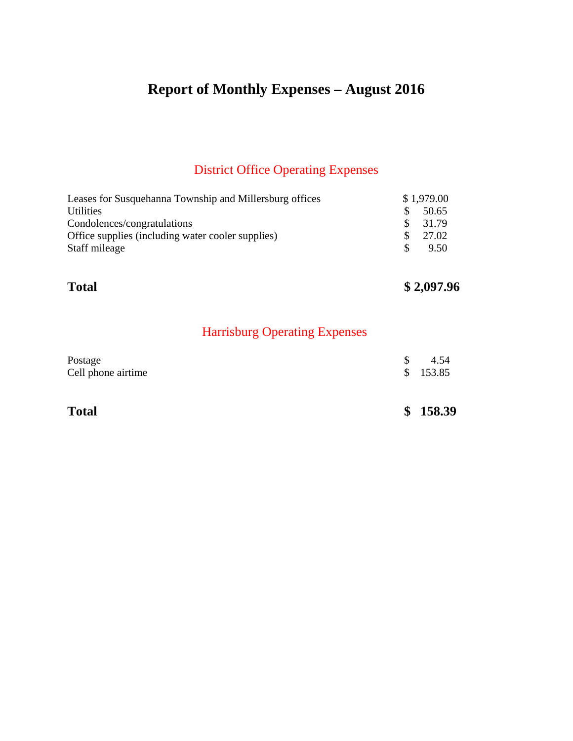# **Report of Monthly Expenses – August 2016**

## District Office Operating Expenses

| Leases for Susquehanna Township and Millersburg offices |     | \$1,979.00 |
|---------------------------------------------------------|-----|------------|
| <b>Utilities</b>                                        | SS. | 50.65      |
| Condolences/congratulations                             |     | 31.79      |
| Office supplies (including water cooler supplies)       |     | 27.02      |
| Staff mileage                                           | SS. | 9.50       |
|                                                         |     |            |

## **Total \$ 2,097.96**

## Harrisburg Operating Expenses

| <b>Total</b>       | \$158.39 |
|--------------------|----------|
| Cell phone airtime | \$153.85 |
| Postage            | 4.54     |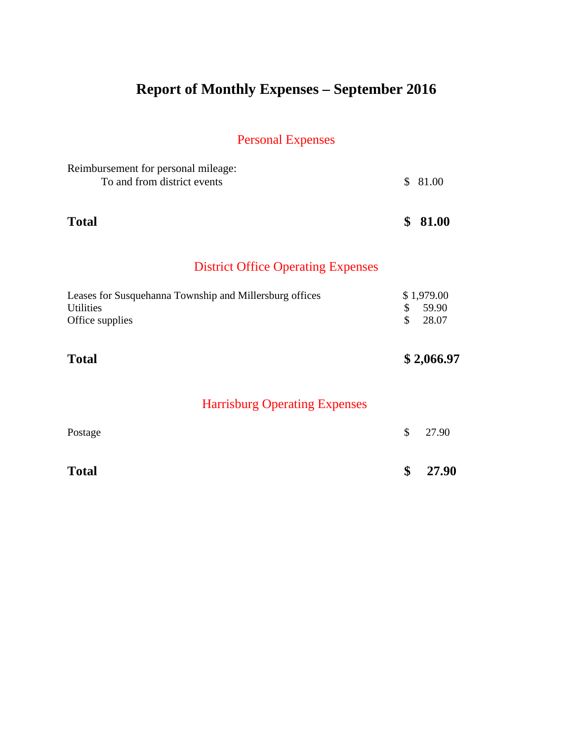# **Report of Monthly Expenses – September 2016**

| Reimbursement for personal mileage:<br>To and from district events                             | \$       | 81.00                        |
|------------------------------------------------------------------------------------------------|----------|------------------------------|
| <b>Total</b>                                                                                   | \$       | 81.00                        |
| <b>District Office Operating Expenses</b>                                                      |          |                              |
| Leases for Susquehanna Township and Millersburg offices<br><b>Utilities</b><br>Office supplies | \$<br>\$ | \$1,979.00<br>59.90<br>28.07 |
| <b>Total</b>                                                                                   |          | \$2,066.97                   |
| <b>Harrisburg Operating Expenses</b>                                                           |          |                              |
| Postage                                                                                        | \$       | 27.90                        |
| <b>Total</b>                                                                                   | \$       | 27.90                        |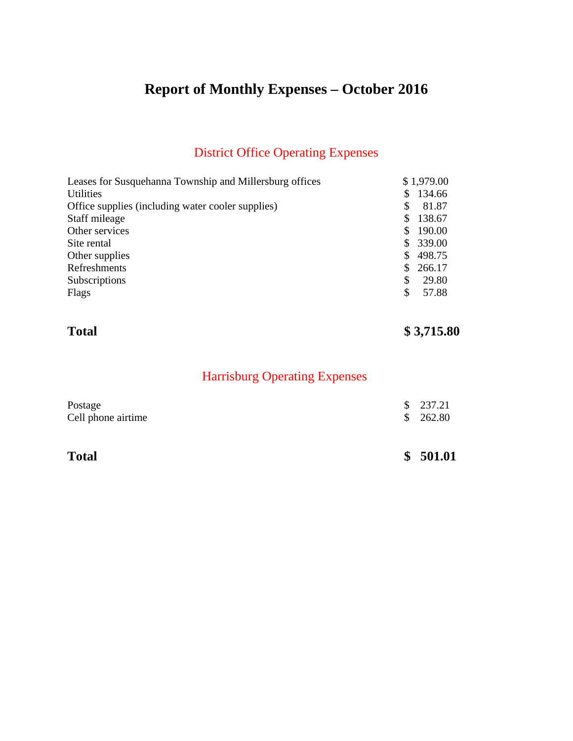# **Report of Monthly Expenses – October 2016**

## District Office Operating Expenses

| Leases for Susquehanna Township and Millersburg offices | \$1,979.00   |
|---------------------------------------------------------|--------------|
| <b>Utilities</b>                                        | 134.66<br>S  |
| Office supplies (including water cooler supplies)       | 81.87<br>S   |
| Staff mileage                                           | 138.67<br>S. |
| Other services                                          | 190.00       |
| Site rental                                             | 339.00<br>S. |
| Other supplies                                          | 498.75       |
| Refreshments                                            | 266.17       |
| Subscriptions                                           | 29.80<br>\$  |
| Flags                                                   | \$<br>57.88  |

## **Total \$ 3,715.80**

## Harrisburg Operating Expenses

| <b>Total</b>                  | \$501.01             |
|-------------------------------|----------------------|
| Postage<br>Cell phone airtime | \$237.21<br>\$262.80 |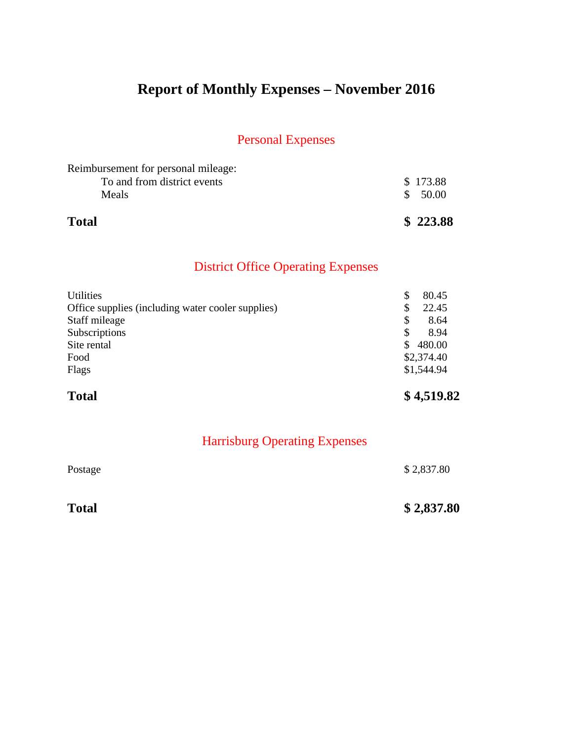# **Report of Monthly Expenses – November 2016**

## Personal Expenses

| <b>Total</b>                        | \$223.88 |
|-------------------------------------|----------|
| <b>Meals</b>                        | \$ 50.00 |
| To and from district events         | \$173.88 |
| Reimbursement for personal mileage: |          |

## District Office Operating Expenses

| <b>Total</b>                                      | \$4,519.82   |
|---------------------------------------------------|--------------|
| Flags                                             | \$1,544.94   |
| Food                                              | \$2,374.40   |
| Site rental                                       | 480.00<br>S. |
| Subscriptions                                     | \$<br>8.94   |
| Staff mileage                                     | S<br>8.64    |
| Office supplies (including water cooler supplies) | \$<br>22.45  |
| <b>Utilities</b>                                  | \$<br>80.45  |

| <b>Total</b> | \$2,837.80 |
|--------------|------------|
| Postage      | \$2,837.80 |